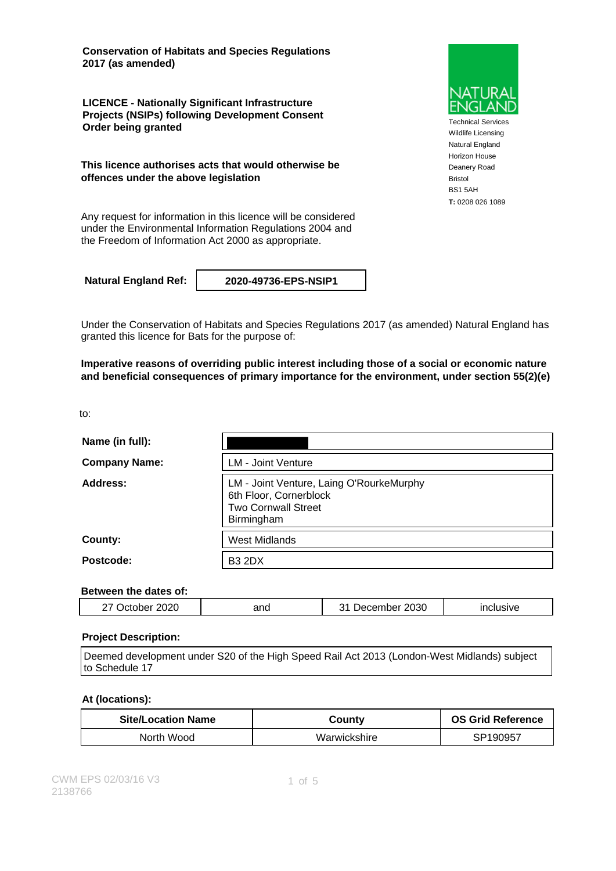**Conservation of Habitats and Species Regulations 2017 (as amended)**

**LICENCE - Nationally Significant Infrastructure Projects (NSIPs) following Development Consent Order being granted**

**This licence authorises acts that would otherwise be offences under the above legislation**

Any request for information in this licence will be considered under the Environmental Information Regulations 2004 and the Freedom of Information Act 2000 as appropriate.

**Natural England Ref: 2020-49736-EPS-NSIP1**

Under the Conservation of Habitats and Species Regulations 2017 (as amended) Natural England has granted this licence for Bats for the purpose of:

**Imperative reasons of overriding public interest including those of a social or economic nature and beneficial consequences of primary importance for the environment, under section 55(2)(e)**

to:

| Name (in full):      |                                                                                                                |
|----------------------|----------------------------------------------------------------------------------------------------------------|
| <b>Company Name:</b> | <b>LM - Joint Venture</b>                                                                                      |
| Address:             | LM - Joint Venture, Laing O'RourkeMurphy<br>6th Floor, Cornerblock<br><b>Two Cornwall Street</b><br>Birmingham |
| County:              | <b>West Midlands</b>                                                                                           |
| Postcode:            | <b>B3 2DX</b>                                                                                                  |

#### **Between the dates of:**

| 2030<br>2020<br>and<br>emher.<br><br>$\overline{\phantom{a}}$<br>،برر<br>SIV)<br> |  |
|-----------------------------------------------------------------------------------|--|
|-----------------------------------------------------------------------------------|--|

#### **Project Description:**

Deemed development under S20 of the High Speed Rail Act 2013 (London-West Midlands) subject to Schedule 17

#### **At (locations):**

| <b>Site/Location Name</b> | County       | <b>OS Grid Reference</b> |
|---------------------------|--------------|--------------------------|
| North Wood                | Warwickshire | SP190957                 |



Technical Services Wildlife Licensing Natural England Horizon House Deanery Road Bristol BS1 5AH **T:** 0208 026 1089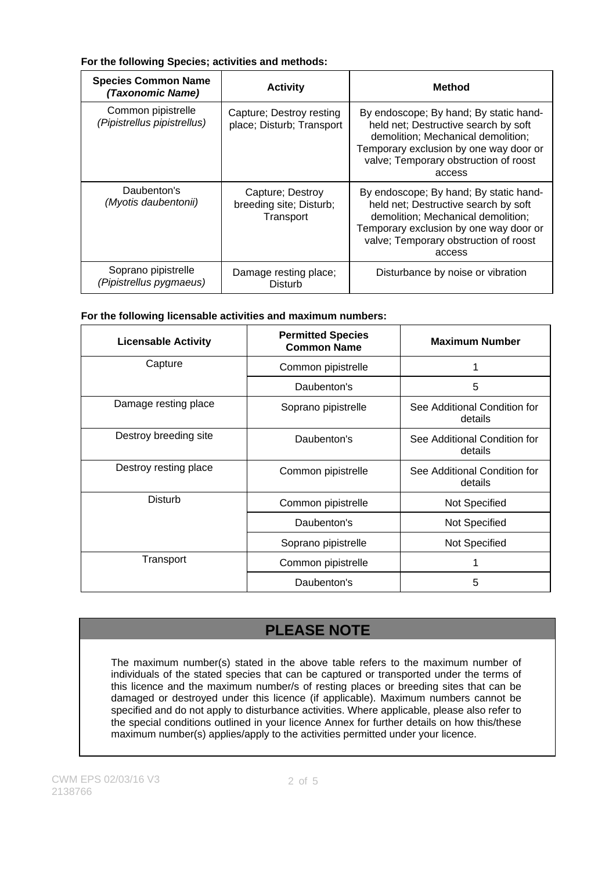#### **For the following Species; activities and methods:**

| <b>Species Common Name</b><br>(Taxonomic Name)    | <b>Activity</b>                                          | <b>Method</b>                                                                                                                                                                                                     |
|---------------------------------------------------|----------------------------------------------------------|-------------------------------------------------------------------------------------------------------------------------------------------------------------------------------------------------------------------|
| Common pipistrelle<br>(Pipistrellus pipistrellus) | Capture; Destroy resting<br>place; Disturb; Transport    | By endoscope; By hand; By static hand-<br>held net; Destructive search by soft<br>demolition; Mechanical demolition;<br>Temporary exclusion by one way door or<br>valve; Temporary obstruction of roost<br>access |
| Daubenton's<br>(Myotis daubentonii)               | Capture; Destroy<br>breeding site; Disturb;<br>Transport | By endoscope; By hand; By static hand-<br>held net; Destructive search by soft<br>demolition; Mechanical demolition;<br>Temporary exclusion by one way door or<br>valve; Temporary obstruction of roost<br>access |
| Soprano pipistrelle<br>(Pipistrellus pygmaeus)    | Damage resting place;<br>Disturb                         | Disturbance by noise or vibration                                                                                                                                                                                 |

#### **For the following licensable activities and maximum numbers:**

| <b>Licensable Activity</b> | <b>Permitted Species</b><br><b>Common Name</b> | <b>Maximum Number</b>                   |
|----------------------------|------------------------------------------------|-----------------------------------------|
| Capture                    | Common pipistrelle                             |                                         |
|                            | Daubenton's                                    | 5                                       |
| Damage resting place       | Soprano pipistrelle                            | See Additional Condition for<br>details |
| Destroy breeding site      | Daubenton's                                    | See Additional Condition for<br>details |
| Destroy resting place      | Common pipistrelle                             | See Additional Condition for<br>details |
| Disturb                    | Common pipistrelle                             | Not Specified                           |
|                            | Daubenton's                                    | Not Specified                           |
|                            | Soprano pipistrelle                            | Not Specified                           |
| Transport                  | Common pipistrelle                             | 1                                       |
|                            | Daubenton's                                    | 5                                       |

# **PLEASE NOTE**

The maximum number(s) stated in the above table refers to the maximum number of individuals of the stated species that can be captured or transported under the terms of this licence and the maximum number/s of resting places or breeding sites that can be damaged or destroyed under this licence (if applicable). Maximum numbers cannot be specified and do not apply to disturbance activities. Where applicable, please also refer to the special conditions outlined in your licence Annex for further details on how this/these maximum number(s) applies/apply to the activities permitted under your licence.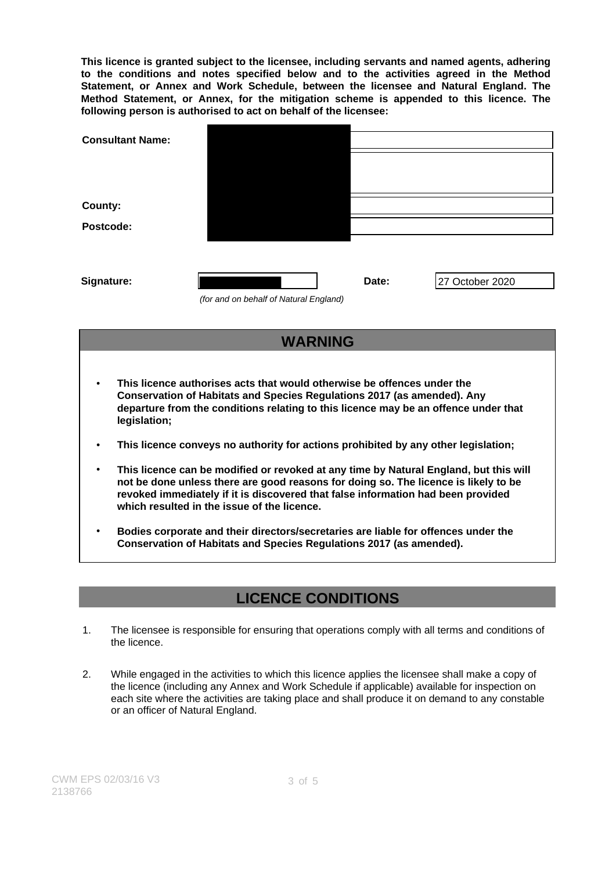**This licence is granted subject to the licensee, including servants and named agents, adhering to the conditions and notes specified below and to the activities agreed in the Method Statement, or Annex and Work Schedule, between the licensee and Natural England. The Method Statement, or Annex, for the mitigation scheme is appended to this licence. The following person is authorised to act on behalf of the licensee:**

| <b>Consultant Name:</b> |                                        |       |                 |
|-------------------------|----------------------------------------|-------|-----------------|
|                         |                                        |       |                 |
|                         |                                        |       |                 |
| County:                 |                                        |       |                 |
| Postcode:               |                                        |       |                 |
|                         |                                        |       |                 |
|                         |                                        |       |                 |
| Signature:              |                                        | Date: | 27 October 2020 |
|                         | (for and on behalf of Natural England) |       |                 |

### **WARNING**

- **This licence authorises acts that would otherwise be offences under the Conservation of Habitats and Species Regulations 2017 (as amended). Any departure from the conditions relating to this licence may be an offence under that legislation;**
- **This licence conveys no authority for actions prohibited by any other legislation;**
- **This licence can be modified or revoked at any time by Natural England, but this will not be done unless there are good reasons for doing so. The licence is likely to be revoked immediately if it is discovered that false information had been provided which resulted in the issue of the licence.**
- **Bodies corporate and their directors/secretaries are liable for offences under the Conservation of Habitats and Species Regulations 2017 (as amended).**

### **LICENCE CONDITIONS**

- 1. The licensee is responsible for ensuring that operations comply with all terms and conditions of the licence.
- 2. While engaged in the activities to which this licence applies the licensee shall make a copy of the licence (including any Annex and Work Schedule if applicable) available for inspection on each site where the activities are taking place and shall produce it on demand to any constable or an officer of Natural England.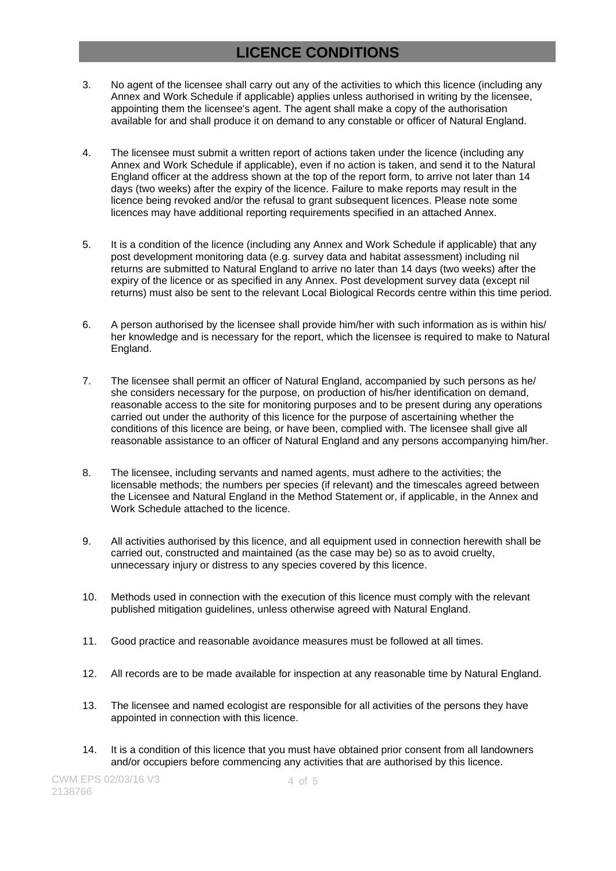## **LICENCE CONDITIONS**

- 3. No agent of the licensee shall carry out any of the activities to which this licence (including any Annex and Work Schedule if applicable) applies unless authorised in writing by the licensee, appointing them the licensee's agent. The agent shall make a copy of the authorisation available for and shall produce it on demand to any constable or officer of Natural England.
- 4. The licensee must submit a written report of actions taken under the licence (including any Annex and Work Schedule if applicable), even if no action is taken, and send it to the Natural England officer at the address shown at the top of the report form, to arrive not later than 14 days (two weeks) after the expiry of the licence. Failure to make reports may result in the licence being revoked and/or the refusal to grant subsequent licences. Please note some licences may have additional reporting requirements specified in an attached Annex.
- 5. It is a condition of the licence (including any Annex and Work Schedule if applicable) that any post development monitoring data (e.g. survey data and habitat assessment) including nil returns are submitted to Natural England to arrive no later than 14 days (two weeks) after the expiry of the licence or as specified in any Annex. Post development survey data (except nil returns) must also be sent to the relevant Local Biological Records centre within this time period.
- 6. A person authorised by the licensee shall provide him/her with such information as is within his/ her knowledge and is necessary for the report, which the licensee is required to make to Natural England.
- 7. The licensee shall permit an officer of Natural England, accompanied by such persons as he/ she considers necessary for the purpose, on production of his/her identification on demand, reasonable access to the site for monitoring purposes and to be present during any operations carried out under the authority of this licence for the purpose of ascertaining whether the conditions of this licence are being, or have been, complied with. The licensee shall give all reasonable assistance to an officer of Natural England and any persons accompanying him/her.
- 8. The licensee, including servants and named agents, must adhere to the activities; the licensable methods; the numbers per species (if relevant) and the timescales agreed between the Licensee and Natural England in the Method Statement or, if applicable, in the Annex and Work Schedule attached to the licence.
- 9. All activities authorised by this licence, and all equipment used in connection herewith shall be carried out, constructed and maintained (as the case may be) so as to avoid cruelty, unnecessary injury or distress to any species covered by this licence.
- 10. Methods used in connection with the execution of this licence must comply with the relevant published mitigation guidelines, unless otherwise agreed with Natural England.
- 11. Good practice and reasonable avoidance measures must be followed at all times.
- 12. All records are to be made available for inspection at any reasonable time by Natural England.
- 13. The licensee and named ecologist are responsible for all activities of the persons they have appointed in connection with this licence.
- 14. It is a condition of this licence that you must have obtained prior consent from all landowners and/or occupiers before commencing any activities that are authorised by this licence.